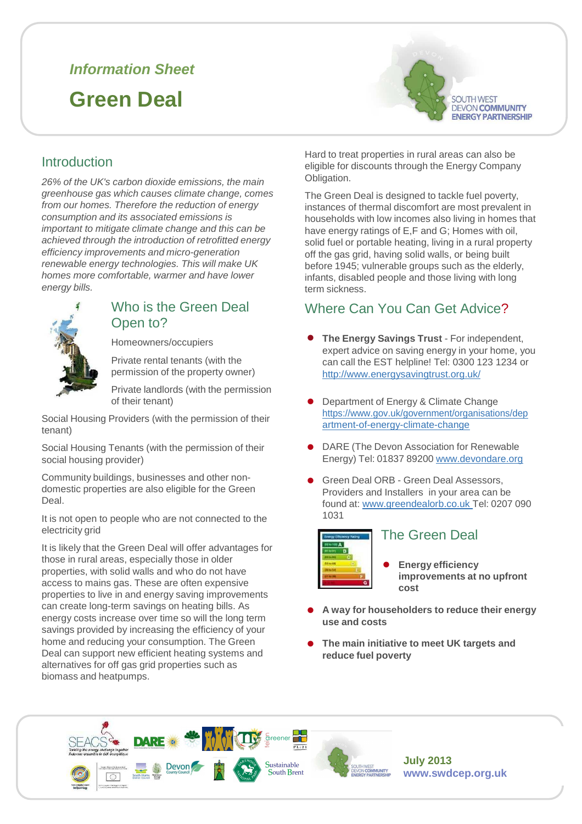# **Information Sheet**

# **Green Deal**



# Introduction

26% of the UK's carbon dioxide emissions, the main greenhouse gas which causes climate change, comes from our homes. Therefore the reduction of energy consumption and its associated emissions is important to mitigate climate change and this can be achieved through the introduction of retrofitted energy efficiency improvements and micro-generation renewable energy technologies. This will make UK homes more comfortable, warmer and have lower energy bills.



# Who is the Green Deal Open to?

Homeowners/occupiers

Private rental tenants (with the permission of the property owner)

Private landlords (with the permission of their tenant)

Social Housing Providers (with the permission of their tenant)

Social Housing Tenants (with the permission of their social housing provider)

Community buildings, businesses and other nondomestic properties are also eligible for the Green Deal.

It is not open to people who are not connected to the electricity grid

It is likely that the Green Deal will offer advantages for those in rural areas, especially those in older properties, with solid walls and who do not have access to mains gas. These are often expensive properties to live in and energy saving improvements can create long-term savings on heating bills. As energy costs increase over time so will the long term savings provided by increasing the efficiency of your home and reducing your consumption. The Green Deal can support new efficient heating systems and alternatives for off gas grid properties such as biomass and heatpumps.

Hard to treat properties in rural areas can also be eligible for discounts through the Energy Company Obligation.

The Green Deal is designed to tackle fuel poverty, instances of thermal discomfort are most prevalent in households with low incomes also living in homes that have energy ratings of E,F and G; Homes with oil, solid fuel or portable heating, living in a rural property off the gas grid, having solid walls, or being built before 1945; vulnerable groups such as the elderly, infants, disabled people and those living with long term sickness.

# Where Can You Can Get Advice?

- **The Energy Savings Trust** For independent, expert advice on saving energy in your home, you can call the EST helpline! Tel: 0300 123 1234 or http://www.energysavingtrust.org.uk/
- Department of Energy & Climate Change https://www.gov.uk/government/organisations/dep artment-of-energy-climate-change
- DARE (The Devon Association for Renewable Energy) Tel: 01837 89200 www.devondare.org
- Green Deal ORB - Green Deal Assessors, Providers and Installers in your area can be found at: www.greendealorb.co.uk Tel: 0207 090 1031



#### The Green Deal

• **Energy efficiency improvements at no upfront cost**

- **A way for householders to reduce their energy use and costs**
- **The main initiative to meet UK targets and reduce fuel poverty**





**July 2013 www.swdcep.org.uk**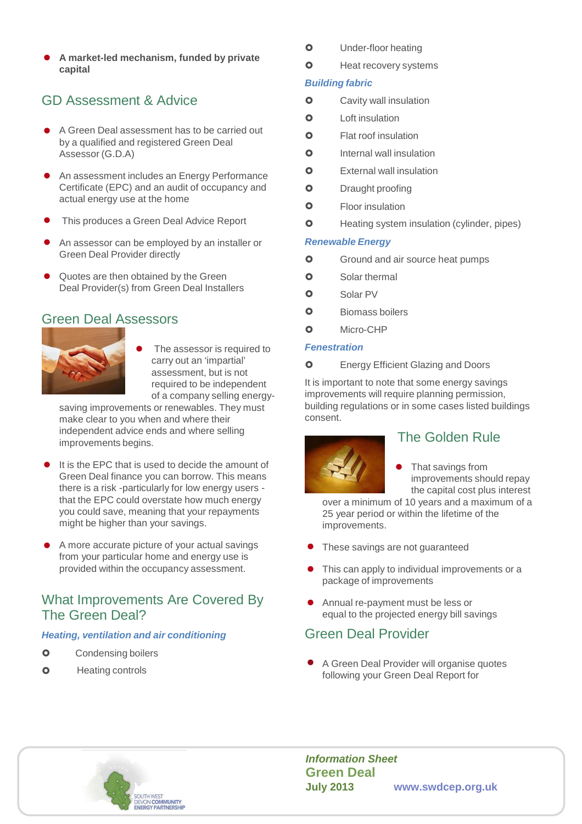**a A** market-led mechanism, funded by private<br> **a d market-led mechanism, funded by private**<br> **a d Heat recovery systems capital**

# GD Assessment & Advice

- A Green Deal assessment has to be carried out by a qualified and registered Green Deal Assessor (G.D.A)
- An assessment includes an Energy Performance Certificate (EPC) and an audit of occupancy and actual energy use at the home
- This produces a Green Deal Advice Report
- An assessor can be employed by an installer or **Renewable Energy** Green Deal Provider directly
- Quotes are then obtained by the Green Deal Provider(s) from Green Deal Installers

# Green Deal Assessors



The assessor is required to **Fenestration**<br>carry out an 'impartial' **COLLA COLLA COLLA** carry out an 'impartial' assessment, but is not required to be independent of a company selling energy-

saving improvements or renewables. They must make clear to you when and where their independent advice ends and where selling improvements begins.

- It is the EPC that is used to decide the amount of  $\begin{array}{c} \begin{array}{ccc} \bullet & \bullet \\ \bullet & \bullet \end{array} \end{array}$ Green Deal finance you can borrow. This means there is a risk -particularly for low energy users that the EPC could overstate how much energy you could save, meaning that your repayments might be higher than your savings.
- A more accurate picture of your actual savings<br>from your particular home and energy use is from your particular home and energy use is provided within the occupancy assessment.

# What Improvements Are Covered By The Green Deal?

#### **Heating, ventilation and air conditioning**

- $\bullet$ Condensing boilers
- $\bullet$
- $\bullet$ Under-floor heating
- $\bullet$

#### **Building fabric**

- Cavity wall insulation
- $\bullet$ Loft insulation
- $\bullet$ Flat roof insulation
- C Internal wall insulation
- $\bullet$ External wall insulation
- $\bullet$ Draught proofing
- $\bullet$ Floor insulation
- $\bullet$ Heating system insulation (cylinder, pipes)

- Ground and air source heat pumps
- $\bullet$ Solar thermal
- $\bullet$ Solar PV
- $\bullet$ Biomass boilers
- $\Omega$ Micro-CHP

Energy Efficient Glazing and Doors

It is important to note that some energy savings improvements will require planning permission, building regulations or in some cases listed buildings consent.



# The Golden Rule

That savings from improvements should repay the capital cost plus interest

over a minimum of 10 years and a maximum of a 25 year period or within the lifetime of the improvements.

- These savings are not guaranteed
- This can apply to individual improvements or a package of improvements
- Annual re-payment must be less or equal to the projected energy bill savings

### Green Deal Provider

Heating controls • A Green Deal Provider will organise quotes following your Green Deal Report for



**Information Sheet Green Deal July 2013 www.swdcep.org.uk**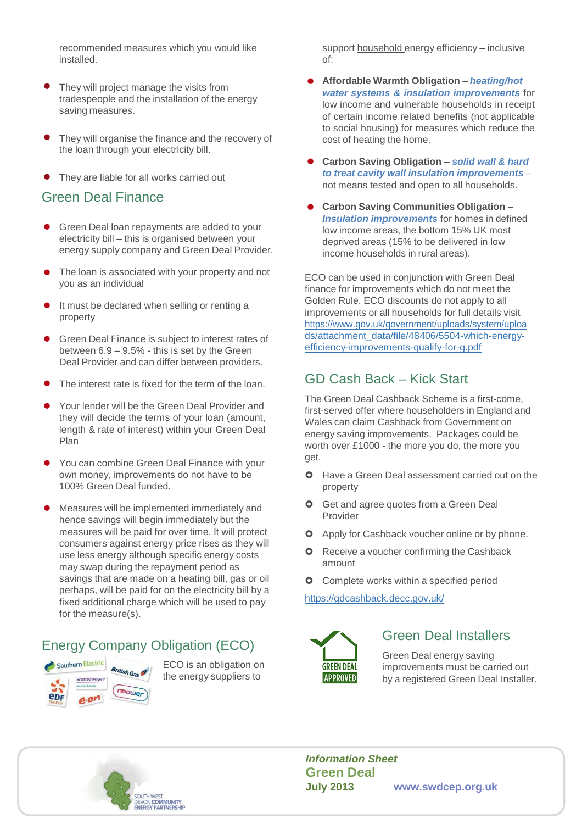recommended measures which you would like installed.

- They will project manage the visits from tradespeople and the installation of the energy saving measures.
- They will organise the finance and the recovery of the loan through your electricity bill.
- They are liable for all works carried out

#### Green Deal Finance

- Green Deal loan repayments are added to your electricity bill – this is organised between your energy supply company and Green Deal Provider.
- The loan is associated with your property and not The identity associated with your property and not example ECO can be used in conjunction with Green Deal<br>Finance for incorporate which do not meet the
- It must be declared when selling or renting a property
- Green Deal Finance is subject to interest rates of between 6.9 – 9.5% - this is set by the Green Deal Provider and can differ between providers.
- The interest rate is fixed for the term of the loan.
- Your lender will be the Green Deal Provider and they will decide the terms of your loan (amount, length & rate of interest) within your Green Deal Plan
- You can combine Green Deal Finance with your own money, improvements do not have to be 100% Green Deal funded.
- Measures will be implemented immediately and hence savings will begin immediately but the measures will be paid for over time. It will protect consumers against energy price rises as they will use less energy although specific energy costs may swap during the repayment period as savings that are made on a heating bill, gas or oil perhaps, will be paid for on the electricity bill by a fixed additional charge which will be used to pay for the measure(s).

# Energy Company Obligation (ECO)



ECO is an obligation on the energy suppliers to

support household energy efficiency – inclusive of:

- **Affordable Warmth Obligation heating/hot water systems & insulation improvements** for low income and vulnerable households in receipt of certain income related benefits (not applicable to social housing) for measures which reduce the cost of heating the home.
- **Carbon Saving Obligation solid wall & hard to treat cavity wall insulation improvements** – • not means tested and open to all households.
- **Carbon Saving Communities Obligation Insulation improvements** for homes in defined low income areas, the bottom 15% UK most deprived areas (15% to be delivered in low income households in rural areas).

finance for improvements which do not meet the Golden Rule. ECO discounts do not apply to all improvements or all households for full details visit https://www.gov.uk/government/uploads/system/uploa ds/attachment\_data/file/48406/5504-which-energyefficiency-improvements-qualify-for-g.pdf

# GD Cash Back – Kick Start

The Green Deal Cashback Scheme is a first-come, first-served offer where householders in England and Wales can claim Cashback from Government on energy saving improvements. Packages could be worth over £1000 - the more you do, the more you get.

- **O** Have a Green Deal assessment carried out on the property
- **O** Get and agree quotes from a Green Deal Provider
- **O** Apply for Cashback voucher online or by phone.
- **O** Receive a voucher confirming the Cashback amount
- Complete works within a specified period  $\Omega$

#### https://gdcashback.decc.gov.uk/



### Green Deal Installers

Green Deal energy saving improvements must be carried out by a registered Green Deal Installer.



**Information Sheet Green Deal July 2013 www.swdcep.org.uk**